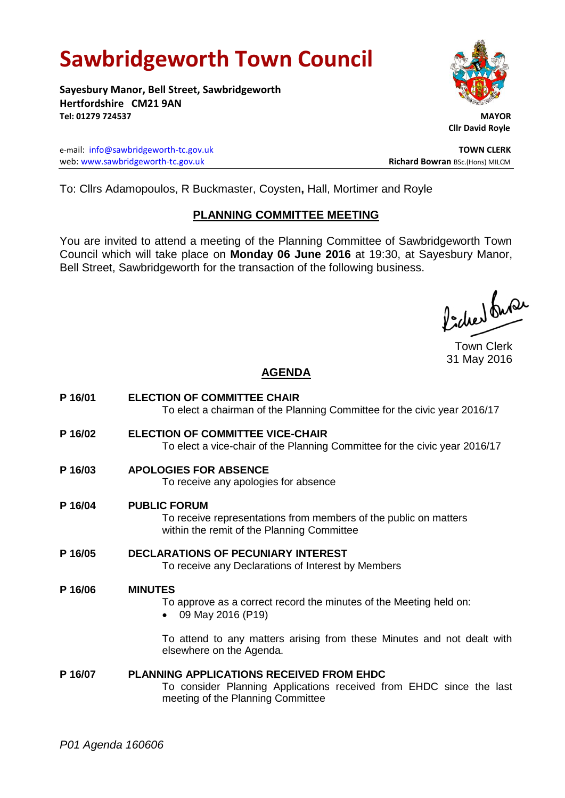# **Sawbridgeworth Town Council**

**Sayesbury Manor, Bell Street, Sawbridgeworth Hertfordshire CM21 9AN Tel: 01279 724537 MAYOR**

e-mail: [info@sawbridgeworth-tc.gov.uk](mailto:info@sawbridgeworth-tc.gov.uk) **TOWN CLERK** web: www.sawbridgeworth-tc.gov.uk<br>
Richard Bowran BSc.(Hons) MILCM



 **Cllr David Royle**

To: Cllrs Adamopoulos, R Buckmaster, Coysten**,** Hall, Mortimer and Royle

## **PLANNING COMMITTEE MEETING**

You are invited to attend a meeting of the Planning Committee of Sawbridgeworth Town Council which will take place on **Monday 06 June 2016** at 19:30, at Sayesbury Manor, Bell Street, Sawbridgeworth for the transaction of the following business.

Picked Super

Town Clerk 31 May 2016

## **AGENDA**

**P 16/01 ELECTION OF COMMITTEE CHAIR** To elect a chairman of the Planning Committee for the civic year 2016/17 **P 16/02 ELECTION OF COMMITTEE VICE-CHAIR** To elect a vice-chair of the Planning Committee for the civic year 2016/17 **P 16/03 APOLOGIES FOR ABSENCE** To receive any apologies for absence **P 16/04 PUBLIC FORUM** To receive representations from members of the public on matters within the remit of the Planning Committee **P 16/05 DECLARATIONS OF PECUNIARY INTEREST** To receive any Declarations of Interest by Members **P 16/06 MINUTES** To approve as a correct record the minutes of the Meeting held on: 09 May 2016 (P19) To attend to any matters arising from these Minutes and not dealt with elsewhere on the Agenda. **P 16/07 PLANNING APPLICATIONS RECEIVED FROM EHDC** To consider Planning Applications received from EHDC since the last meeting of the Planning Committee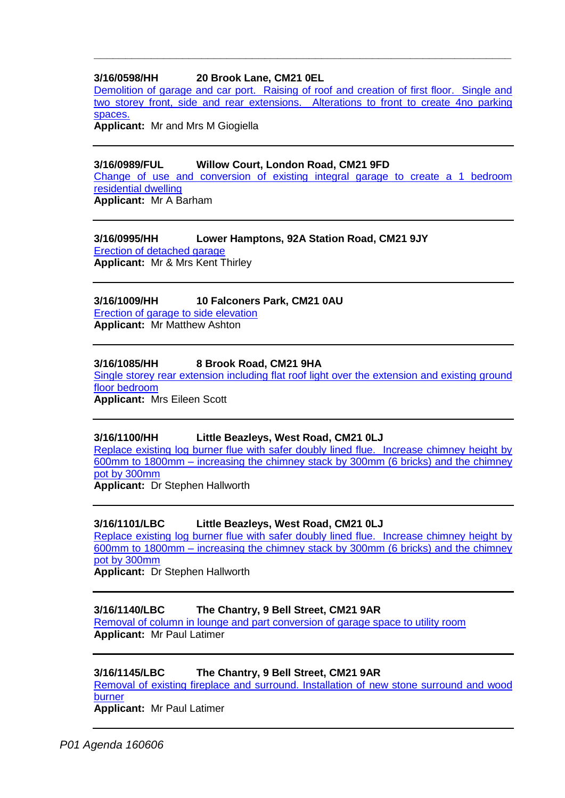## **3/16/0598/HH 20 Brook Lane, CM21 0EL**

[Demolition of garage and car port. Raising of roof and creation of first floor. Single and](https://publicaccess.eastherts.gov.uk/online-applications/applicationDetails.do?activeTab=documents&keyVal=O3Z81GGLJ1M00)  [two storey front, side and rear extensions. Alterations to front to create 4no parking](https://publicaccess.eastherts.gov.uk/online-applications/applicationDetails.do?activeTab=documents&keyVal=O3Z81GGLJ1M00)  [spaces.](https://publicaccess.eastherts.gov.uk/online-applications/applicationDetails.do?activeTab=documents&keyVal=O3Z81GGLJ1M00)

**\_\_\_\_\_\_\_\_\_\_\_\_\_\_\_\_\_\_\_\_\_\_\_\_\_\_\_\_\_\_\_\_\_\_\_\_\_\_\_\_\_\_\_\_\_\_\_\_\_\_\_\_\_\_\_\_\_\_\_\_\_\_\_\_\_\_**

**Applicant:** Mr and Mrs M Giogiella

## **3/16/0989/FUL Willow Court, London Road, CM21 9FD**

[Change of use and conversion of existing integral garage to create a 1 bedroom](https://publicaccess.eastherts.gov.uk/online-applications/applicationDetails.do?activeTab=summary&keyVal=O68MOFGLJNH00)  [residential dwelling](https://publicaccess.eastherts.gov.uk/online-applications/applicationDetails.do?activeTab=summary&keyVal=O68MOFGLJNH00)

**Applicant:** Mr A Barham

## **3/16/0995/HH Lower Hamptons, 92A Station Road, CM21 9JY**

[Erection of detached garage](https://publicaccess.eastherts.gov.uk/online-applications/applicationDetails.do?activeTab=summary&keyVal=O6AI3YGL00B00) **Applicant:** Mr & Mrs Kent Thirley

## **3/16/1009/HH 10 Falconers Park, CM21 0AU**

[Erection of garage to side elevation](https://publicaccess.eastherts.gov.uk/online-applications/applicationDetails.do?activeTab=summary&keyVal=O6CN3PGLJO200) **Applicant:** Mr Matthew Ashton

#### **3/16/1085/HH 8 Brook Road, CM21 9HA**

Single storey rear extension including flat roof light over the extension and existing ground [floor bedroom](https://publicaccess.eastherts.gov.uk/online-applications/applicationDetails.do?activeTab=summary&keyVal=O6YV47GLJT100)

**Applicant:** Mrs Eileen Scott

#### **3/16/1100/HH Little Beazleys, West Road, CM21 0LJ**

[Replace existing log burner flue with safer doubly lined flue. Increase chimney height by](https://publicaccess.eastherts.gov.uk/online-applications/applicationDetails.do?activeTab=summary&keyVal=O70PRUGLJTO00)  600mm to 1800mm – [increasing the chimney stack by 300mm \(6 bricks\) and the chimney](https://publicaccess.eastherts.gov.uk/online-applications/applicationDetails.do?activeTab=summary&keyVal=O70PRUGLJTO00)  [pot by 300mm](https://publicaccess.eastherts.gov.uk/online-applications/applicationDetails.do?activeTab=summary&keyVal=O70PRUGLJTO00)

**Applicant:** Dr Stephen Hallworth

## **3/16/1101/LBC Little Beazleys, West Road, CM21 0LJ**

[Replace existing log burner flue with safer doubly lined flue. Increase chimney height by](https://publicaccess.eastherts.gov.uk/online-applications/applicationDetails.do?activeTab=summary&keyVal=O70PRZGLJTP00)  600mm to 1800mm – [increasing the chimney stack by 300mm \(6 bricks\) and the chimney](https://publicaccess.eastherts.gov.uk/online-applications/applicationDetails.do?activeTab=summary&keyVal=O70PRZGLJTP00)  [pot by 300mm](https://publicaccess.eastherts.gov.uk/online-applications/applicationDetails.do?activeTab=summary&keyVal=O70PRZGLJTP00)

**Applicant:** Dr Stephen Hallworth

## **3/16/1140/LBC The Chantry, 9 Bell Street, CM21 9AR**

[Removal of column in lounge and part conversion of garage space to utility room](https://publicaccess.eastherts.gov.uk/online-applications/applicationDetails.do?activeTab=summary&keyVal=O7B7IFGLJVO00) **Applicant:** Mr Paul Latimer

## **3/16/1145/LBC The Chantry, 9 Bell Street, CM21 9AR**

[Removal of existing fireplace and surround. Installation of](https://publicaccess.eastherts.gov.uk/online-applications/applicationDetails.do?activeTab=summary&keyVal=O7BINOGLJVT00) new stone surround and wood [burner](https://publicaccess.eastherts.gov.uk/online-applications/applicationDetails.do?activeTab=summary&keyVal=O7BINOGLJVT00)

**Applicant:** Mr Paul Latimer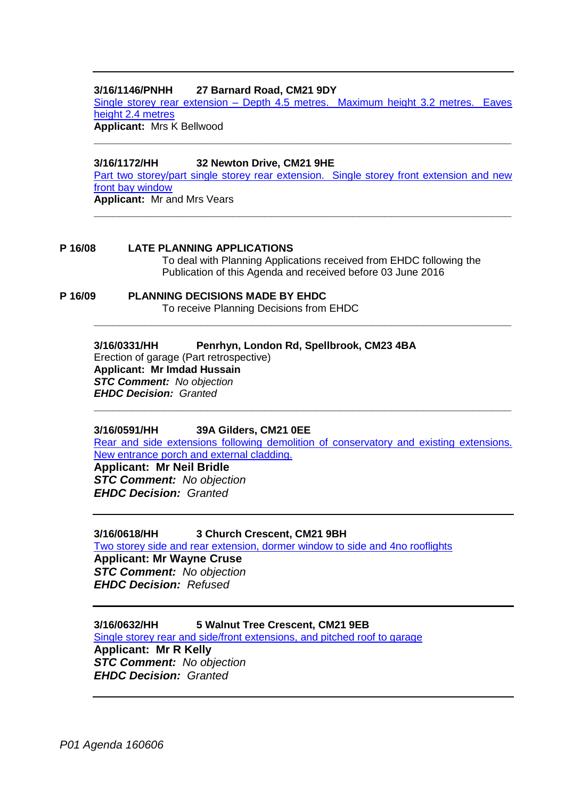## **3/16/1146/PNHH 27 Barnard Road, CM21 9DY**

Single storey rear extension – [Depth 4.5 metres. Maximum height 3.2 metres. Eaves](https://publicaccess.eastherts.gov.uk/online-applications/applicationDetails.do?activeTab=summary&keyVal=O7BLJGGL00X00)  [height 2.4 metres](https://publicaccess.eastherts.gov.uk/online-applications/applicationDetails.do?activeTab=summary&keyVal=O7BLJGGL00X00) **Applicant:** Mrs K Bellwood

**\_\_\_\_\_\_\_\_\_\_\_\_\_\_\_\_\_\_\_\_\_\_\_\_\_\_\_\_\_\_\_\_\_\_\_\_\_\_\_\_\_\_\_\_\_\_\_\_\_\_\_\_\_\_\_\_\_\_\_\_\_\_\_\_\_\_**

**3/16/1172/HH 32 Newton Drive, CM21 9HE**

[Part two storey/part single storey rear extension. Single storey front extension and new](https://publicaccess.eastherts.gov.uk/online-applications/applicationDetails.do?activeTab=summary&keyVal=O7HDRCGLJXY00)  [front bay window](https://publicaccess.eastherts.gov.uk/online-applications/applicationDetails.do?activeTab=summary&keyVal=O7HDRCGLJXY00) **Applicant:** Mr and Mrs Vears

**\_\_\_\_\_\_\_\_\_\_\_\_\_\_\_\_\_\_\_\_\_\_\_\_\_\_\_\_\_\_\_\_\_\_\_\_\_\_\_\_\_\_\_\_\_\_\_\_\_\_\_\_\_\_\_\_\_\_\_\_\_\_\_\_\_\_**

**P 16/08 LATE PLANNING APPLICATIONS**

To deal with Planning Applications received from EHDC following the Publication of this Agenda and received before 03 June 2016

**P 16/09 PLANNING DECISIONS MADE BY EHDC** To receive Planning Decisions from EHDC

> **3/16/0331/HH Penrhyn, London Rd, Spellbrook, CM23 4BA** Erection of garage (Part retrospective) **Applicant: Mr Imdad Hussain** *STC Comment: No objection EHDC Decision: Granted*

## **3/16/0591/HH 39A Gilders, CM21 0EE**

[Rear and side extensions following demolition of conservatory and existing extensions.](https://publicaccess.eastherts.gov.uk/online-applications/applicationDetails.do?activeTab=summary&keyVal=O3VTX2GLJ1300)  [New entrance porch and external cladding.](https://publicaccess.eastherts.gov.uk/online-applications/applicationDetails.do?activeTab=summary&keyVal=O3VTX2GLJ1300)

**\_\_\_\_\_\_\_\_\_\_\_\_\_\_\_\_\_\_\_\_\_\_\_\_\_\_\_\_\_\_\_\_\_\_\_\_\_\_\_\_\_\_\_\_\_\_\_\_\_\_\_\_\_\_\_\_\_\_\_\_\_\_\_\_\_\_**

**\_\_\_\_\_\_\_\_\_\_\_\_\_\_\_\_\_\_\_\_\_\_\_\_\_\_\_\_\_\_\_\_\_\_\_\_\_\_\_\_\_\_\_\_\_\_\_\_\_\_\_\_\_\_\_\_\_\_\_\_\_\_\_\_\_\_**

**Applicant: Mr Neil Bridle** *STC Comment: No objection EHDC Decision: Granted*

**3/16/0618/HH 3 Church Crescent, CM21 9BH**

[Two storey side and rear extension, dormer window to side and 4no rooflights](https://publicaccess.eastherts.gov.uk/online-applications/applicationDetails.do?activeTab=summary&keyVal=O44GYDGLJ2H00) **Applicant: Mr Wayne Cruse**

*STC Comment: No objection EHDC Decision: Refused*

**3/16/0632/HH 5 Walnut Tree Crescent, CM21 9EB** [Single storey rear and side/front extensions, and pitched roof to garage](https://publicaccess.eastherts.gov.uk/online-applications/applicationDetails.do?activeTab=summary&keyVal=O46HEBGL00X00)

**Applicant: Mr R Kelly** *STC Comment: No objection EHDC Decision: Granted*